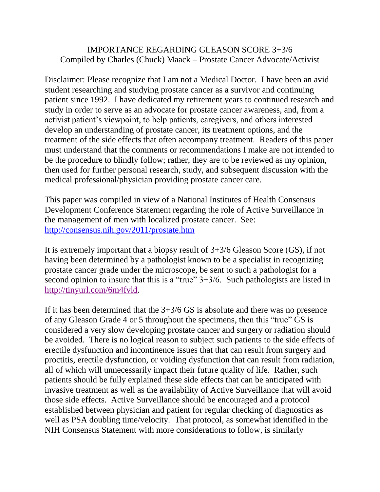## IMPORTANCE REGARDING GLEASON SCORE 3+3/6 Compiled by Charles (Chuck) Maack – Prostate Cancer Advocate/Activist

Disclaimer: Please recognize that I am not a Medical Doctor. I have been an avid student researching and studying prostate cancer as a survivor and continuing patient since 1992. I have dedicated my retirement years to continued research and study in order to serve as an advocate for prostate cancer awareness, and, from a activist patient's viewpoint, to help patients, caregivers, and others interested develop an understanding of prostate cancer, its treatment options, and the treatment of the side effects that often accompany treatment. Readers of this paper must understand that the comments or recommendations I make are not intended to be the procedure to blindly follow; rather, they are to be reviewed as my opinion, then used for further personal research, study, and subsequent discussion with the medical professional/physician providing prostate cancer care.

This paper was compiled in view of a National Institutes of Health Consensus Development Conference Statement regarding the role of Active Surveillance in the management of men with localized prostate cancer. See: <http://consensus.nih.gov/2011/prostate.htm>

It is extremely important that a biopsy result of 3+3/6 Gleason Score (GS), if not having been determined by a pathologist known to be a specialist in recognizing prostate cancer grade under the microscope, be sent to such a pathologist for a second opinion to insure that this is a "true" 3+3/6. Such pathologists are listed in [http://tinyurl.com/6m4fvld.](http://tinyurl.com/6m4fvld)

If it has been determined that the 3+3/6 GS is absolute and there was no presence of any Gleason Grade 4 or 5 throughout the specimens, then this "true" GS is considered a very slow developing prostate cancer and surgery or radiation should be avoided. There is no logical reason to subject such patients to the side effects of erectile dysfunction and incontinence issues that that can result from surgery and proctitis, erectile dysfunction, or voiding dysfunction that can result from radiation, all of which will unnecessarily impact their future quality of life. Rather, such patients should be fully explained these side effects that can be anticipated with invasive treatment as well as the availability of Active Surveillance that will avoid those side effects. Active Surveillance should be encouraged and a protocol established between physician and patient for regular checking of diagnostics as well as PSA doubling time/velocity. That protocol, as somewhat identified in the NIH Consensus Statement with more considerations to follow, is similarly